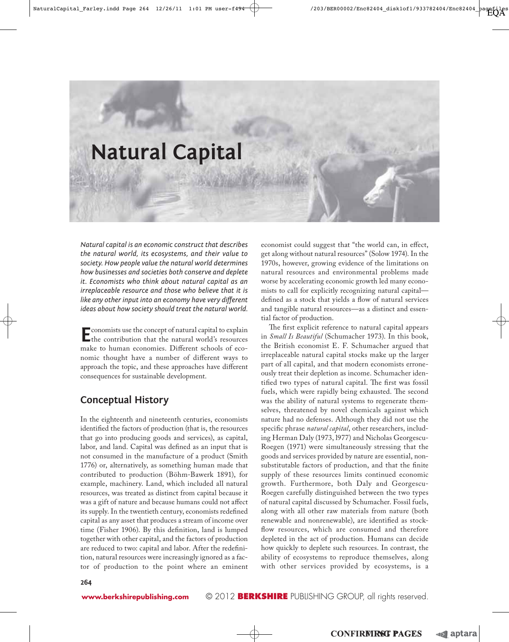

 *Natural capital is an economic construct that describes the natural world, its ecosystems, and their value to society. How people value the natural world determines how businesses and societies both conserve and deplete it. Economists who think about natural capital as an irreplaceable resource and those who believe that it is*  like any other input into an economy have very different *ideas about how society should treat the natural world.* 

 **E**conomists use the concept of natural capital to explain the contribution that the natural world's resources make to human economies. Different schools of economic thought have a number of different ways to approach the topic, and these approaches have different consequences for sustainable development.

# **Conceptual History**

In the eighteenth and nineteenth centuries, economists identified the factors of production (that is, the resources that go into producing goods and services), as capital, labor, and land. Capital was defined as an input that is not consumed in the manufacture of a product (Smith 1776) or, alternatively, as something human made that contributed to production (Böhm-Bawerk 1891), for example, machinery. Land, which included all natural resources, was treated as distinct from capital because it was a gift of nature and because humans could not affect its supply. In the twentieth century, economists redefined capital as any asset that produces a stream of income over time (Fisher 1906). By this definition, land is lumped together with other capital, and the factors of production are reduced to two: capital and labor. After the redefinition, natural resources were increasingly ignored as a factor of production to the point where an eminent

economist could suggest that "the world can, in effect, get along without natural resources" (Solow 1974). In the 1970s, however, growing evidence of the limitations on natural resources and environmental problems made worse by accelerating economic growth led many economists to call for explicitly recognizing natural capital defined as a stock that yields a flow of natural services and tangible natural resources—as a distinct and essential factor of production.

The first explicit reference to natural capital appears in *Small Is Beautiful* (Schumacher 1973). In this book, the British economist E. F. Schumacher argued that irreplaceable natural capital stocks make up the larger part of all capital, and that modern economists erroneously treat their depletion as income. Schumacher identified two types of natural capital. The first was fossil fuels, which were rapidly being exhausted. The second was the ability of natural systems to regenerate themselves, threatened by novel chemicals against which nature had no defenses. Although they did not use the specific phrase *natural capital*, other researchers, including Herman Daly (1973, l977) and Nicholas Georgescu-Roegen (1971) were simultaneously stressing that the goods and services provided by nature are essential, nonsubstitutable factors of production, and that the finite supply of these resources limits continued economic growth. Furthermore, both Daly and Georgescu-Roegen carefully distinguished between the two types of natural capital discussed by Schumacher. Fossil fuels, along with all other raw materials from nature (both renewable and nonrenewable), are identified as stockflow resources, which are consumed and therefore depleted in the act of production. Humans can decide how quickly to deplete such resources. In contrast, the ability of ecosystems to reproduce themselves, along with other services provided by ecosystems, is a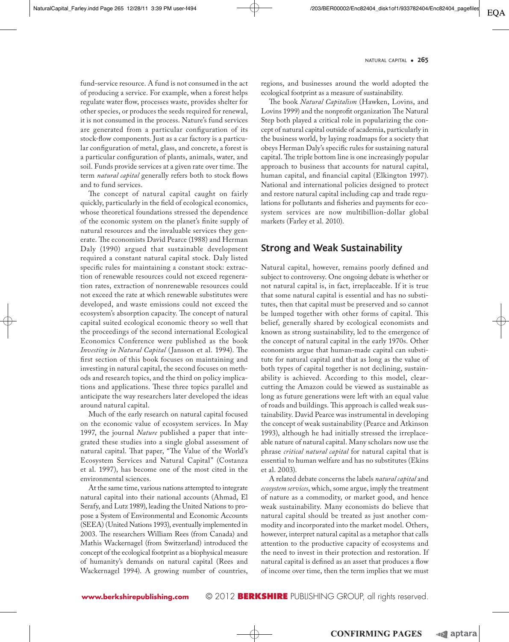fund-service resource. A fund is not consumed in the act of producing a service. For example, when a forest helps regulate water flow, processes waste, provides shelter for other species, or produces the seeds required for renewal, it is not consumed in the process. Nature's fund services are generated from a particular configuration of its stock-flow components. Just as a car factory is a particular configuration of metal, glass, and concrete, a forest is a particular configuration of plants, animals, water, and soil. Funds provide services at a given rate over time. The term *natural capital* generally refers both to stock flows and to fund services.

The concept of natural capital caught on fairly quickly, particularly in the field of ecological economics, whose theoretical foundations stressed the dependence of the economic system on the planet's finite supply of natural resources and the invaluable services they generate. The economists David Pearce (1988) and Herman Daly (1990) argued that sustainable development required a constant natural capital stock. Daly listed specific rules for maintaining a constant stock: extraction of renewable resources could not exceed regeneration rates, extraction of nonrenewable resources could not exceed the rate at which renewable substitutes were developed, and waste emissions could not exceed the ecosystem's absorption capacity. The concept of natural capital suited ecological economic theory so well that the proceedings of the second international Ecological Economics Conference were published as the book *Investing in Natural Capital* (Jansson et al. 1994). The first section of this book focuses on maintaining and investing in natural capital, the second focuses on methods and research topics, and the third on policy implications and applications. These three topics parallel and anticipate the way researchers later developed the ideas around natural capital.

Much of the early research on natural capital focused on the economic value of ecosystem services. In May 1997, the journal *Nature* published a paper that integrated these studies into a single global assessment of natural capital. That paper, "The Value of the World's Ecosystem Services and Natural Capital" (Costanza et al. 1997), has become one of the most cited in the environmental sciences.

At the same time, various nations attempted to integrate natural capital into their national accounts (Ahmad, El Serafy, and Lutz 1989), leading the United Nations to propose a System of Environmental and Economic Accounts (SEEA) (United Nations 1993), eventually implemented in 2003. The researchers William Rees (from Canada) and Mathis Wackernagel (from Switzerland) introduced the concept of the ecological footprint as a biophysical measure of humanity's demands on natural capital (Rees and Wackernagel 1994). A growing number of countries, regions, and businesses around the world adopted the ecological footprint as a measure of sustainability.

The book *Natural Capitalism* (Hawken, Lovins, and Lovins 1999) and the nonprofit organization The Natural Step both played a critical role in popularizing the concept of natural capital outside of academia, particularly in the business world, by laying roadmaps for a society that obeys Herman Daly's specific rules for sustaining natural capital. The triple bottom line is one increasingly popular approach to business that accounts for natural capital, human capital, and financial capital (Elkington 1997). National and international policies designed to protect and restore natural capital including cap and trade regulations for pollutants and fisheries and payments for ecosystem services are now multibillion-dollar global markets (Farley et al. 2010).

### **Strong and Weak Sustainability**

Natural capital, however, remains poorly defined and subject to controversy. One ongoing debate is whether or not natural capital is, in fact, irreplaceable. If it is true that some natural capital is essential and has no substitutes, then that capital must be preserved and so cannot be lumped together with other forms of capital. This belief, generally shared by ecological economists and known as strong sustainability, led to the emergence of the concept of natural capital in the early 1970s. Other economists argue that human-made capital can substitute for natural capital and that as long as the value of both types of capital together is not declining, sustainability is achieved. According to this model, clearcutting the Amazon could be viewed as sustainable as long as future generations were left with an equal value of roads and buildings. This approach is called weak sustainability. David Pearce was instrumental in developing the concept of weak sustainability (Pearce and Atkinson 1993), although he had initially stressed the irreplaceable nature of natural capital. Many scholars now use the phrase *critical natural capital* for natural capital that is essential to human welfare and has no substitutes (Ekins et al. 2003).

A related debate concerns the labels *natural capital* and *ecosystem services*, which, some argue, imply the treatment of nature as a commodity, or market good, and hence weak sustainability. Many economists do believe that natural capital should be treated as just another commodity and incorporated into the market model. Others, however, interpret natural capital as a metaphor that calls attention to the productive capacity of ecosystems and the need to invest in their protection and restoration. If natural capital is defined as an asset that produces a flow of income over time, then the term implies that we must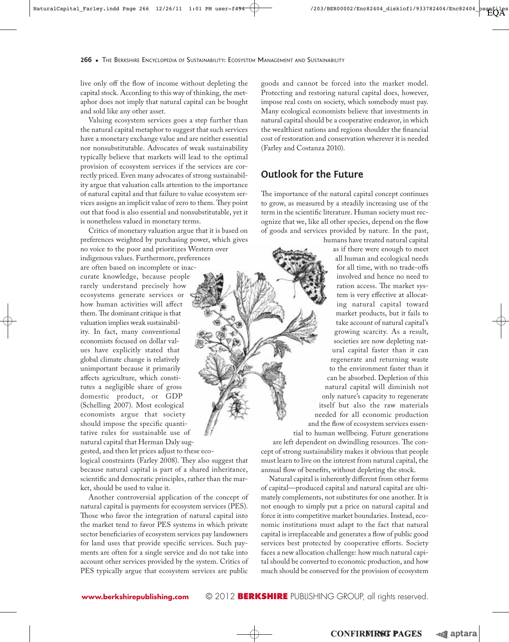live only off the flow of income without depleting the capital stock. According to this way of thinking, the metaphor does not imply that natural capital can be bought and sold like any other asset.

Valuing ecosystem services goes a step further than the natural capital metaphor to suggest that such services have a monetary exchange value and are neither essential nor nonsubstitutable. Advocates of weak sustainability typically believe that markets will lead to the optimal provision of ecosystem services if the services are correctly priced. Even many advocates of strong sustainability argue that valuation calls attention to the importance of natural capital and that failure to value ecosystem services assigns an implicit value of zero to them. They point out that food is also essential and nonsubstitutable, yet it is nonetheless valued in monetary terms.

Critics of monetary valuation argue that it is based on preferences weighted by purchasing power, which gives no voice to the poor and prioritizes Western over indigenous values. Furthermore, preferences are often based on incomplete or inaccurate knowledge, because people rarely understand precisely how ecosystems generate services or how human activities will affect them. The dominant critique is that valuation implies weak sustainability. In fact, many conventional economists focused on dollar values have explicitly stated that global climate change is relatively unimportant because it primarily affects agriculture, which constitutes a negligible share of gross domestic product, or GDP (Schelling 2007). Most ecological economists argue that society should impose the specific quantitative rules for sustainable use of natural capital that Herman Daly sug-

gested, and then let prices adjust to these ecological constraints (Farley 2008). They also suggest that because natural capital is part of a shared inheritance, scientific and democratic principles, rather than the market, should be used to value it.

Another controversial application of the concept of natural capital is payments for ecosystem services (PES). Those who favor the integration of natural capital into the market tend to favor PES systems in which private sector beneficiaries of ecosystem services pay landowners for land uses that provide specific services. Such payments are often for a single service and do not take into account other services provided by the system. Critics of PES typically argue that ecosystem services are public

goods and cannot be forced into the market model. Protecting and restoring natural capital does, however, impose real costs on society, which somebody must pay. Many ecological economists believe that investments in natural capital should be a cooperative endeavor, in which the wealthiest nations and regions shoulder the financial cost of restoration and conservation wherever it is needed (Farley and Costanza 2010).

# **Outlook for the Future**

The importance of the natural capital concept continues to grow, as measured by a steadily increasing use of the term in the scientific literature. Human society must recognize that we, like all other species, depend on the flow of goods and services provided by nature. In the past,

humans have treated natural capital as if there were enough to meet all human and ecological needs for all time, with no trade-offs involved and hence no need to ration access. The market system is very effective at allocating natural capital toward market products, but it fails to take account of natural capital's growing scarcity. As a result, societies are now depleting natural capital faster than it can regenerate and returning waste to the environment faster than it can be absorbed. Depletion of this natural capital will diminish not only nature's capacity to regenerate itself but also the raw materials needed for all economic production and the flow of ecosystem services essential to human wellbeing. Future generations are left dependent on dwindling resources. The concept of strong sustainability makes it obvious that people must learn to live on the interest from natural capital, the annual flow of benefits, without depleting the stock.

Natural capital is inherently different from other forms of capital—produced capital and natural capital are ultimately complements, not substitutes for one another. It is not enough to simply put a price on natural capital and force it into competitive market boundaries. Instead, economic institutions must adapt to the fact that natural capital is irreplaceable and generates a flow of public good services best protected by cooperative efforts. Society faces a new allocation challenge: how much natural capital should be converted to economic production, and how much should be conserved for the provision of ecosystem